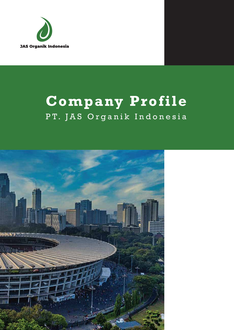

## **Company Profile** PT. JAS Organik Indonesia

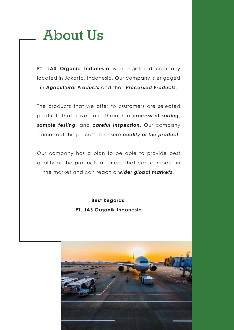

**PT. JAS Organic Indonesia** is a registered company located in Jakarta, Indonesia. Our company is engaged in *Agricultural Products* and their *Processed Products*.

The products that we offer to customers are selected products that have gone through a *process of sorting*, *sample testing*, and *careful inspection*. Our company carries out this process to ensure *quality of the product*.

Our company has a plan to be able to provide best quality of the products at prices that can compete in the market and can reach a *wider global markets*.

> **Best Regards, PT. JAS Organik Indonesia**

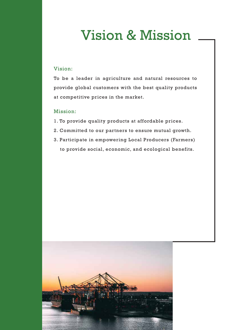## Vision & Mission

#### Vision:

To be a leader in agriculture and natural resources to provide global customers with the best quality products at competitive prices in the market.

#### Mission:

- 1. To provide quality products at affordable prices.
- 2. Committed to our partners to ensure mutual growth.
- 3. Participate in empowering Local Producers (Farmers) to provide social, economic, and ecological benefits.

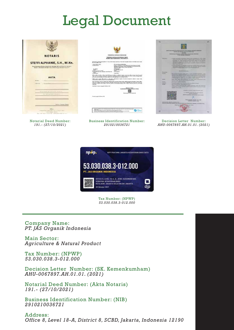# Legal Document





properties. 1 families **STATE MOVING**<br>Contract on the contract of the contract of 学术 who was into home usan<br>Hitu New York page Milleney & the bank **Service** the in the company of the company of Listingston product come office 遏 **O** Elect **Distances and** 

Business Identification Number: *2910210036721*



Decision Letter Number: *AHU-0067897.AH.01.01. (2021)*



Tax Number: (NPWP) *53.030.038.3-012.000*

Company Name: *PT. JAS Organik Indonesia*

Main Sector: *Agriculture & Natural Product*

Tax Number: (NPWP) *53.030.038.3-012.000*

Decision Letter Number: (SK. Kemenkumham) *AHU-0067897.AH.01.01. (2021)*

Notarial Deed Number: (Akta Notaris) *191.- (27/10/2021)*

Business Identification Number: (NIB) *2910210036721*

Address: *Office 8, Level 18-A, District 8, SCBD, Jakarta, Indonesia 12190*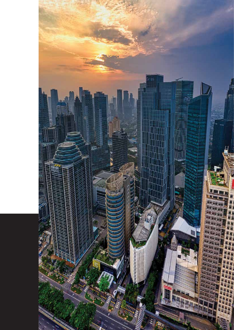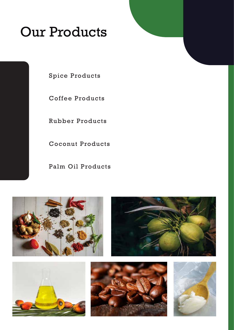## Our Products

Spice Products

Coffee Products

Rubber Products

Coconut Products

Palm Oil Products

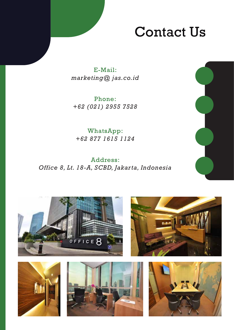### Contact Us

E-Mail: *marketing@ jas.co.id*

Phone: *+62 (021) 2955 7528*

WhatsApp: *+62 877 1615 1124*

Address: *Office 8, Lt. 18-A, SCBD, Jakarta, Indonesia*